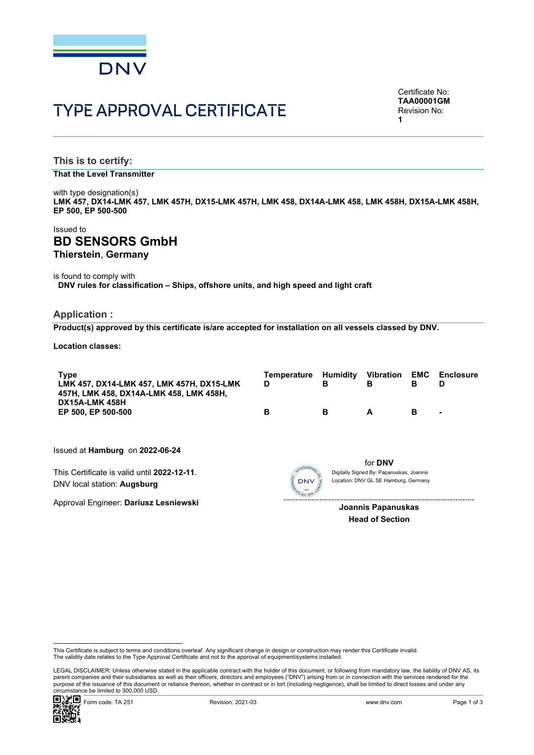

# TYPE APPROVAL CERTIFICATE

Certificate No: **TAA00001GM** Revision No: **1** 

**This is to certify:** 

**That the Level Transmitter**

with type designation(s) **LMK 457, DX14-LMK 457, LMK 457H, DX15-LMK 457H, LMK 458, DX14A-LMK 458, LMK 458H, DX15A-LMK 458H, EP 500, EP 500-500**

## Issued to **BD SENSORS GmbH Thierstein**, **Germany**

is found to comply with

**DNV rules for classification – Ships, offshore units, and high speed and light craft**

#### **Application :**

**Product(s) approved by this certificate is/are accepted for installation on all vessels classed by DNV.**

**Location classes:** 

| <b>Type</b><br>LMK 457, DX14-LMK 457, LMK 457H, DX15-LMK<br>457H, LMK 458, DX14A-LMK 458, LMK 458H, | Temperature<br>D | в | Humidity Vibration<br>в | EMC<br>в | <b>Enclosure</b><br>D |
|-----------------------------------------------------------------------------------------------------|------------------|---|-------------------------|----------|-----------------------|
| DX15A-LMK 458H<br>EP 500. EP 500-500                                                                | в                | в | A                       | в        | ۰                     |

Issued at **Hamburg** on **2022-06-24**

This Certificate is valid until **2022-12-11**. DNV local station: **Augsburg**

Approval Engineer: **Dariusz Lesniewski**



for **DNV** Location: DNV GL SE Hamburg, Germany Digitally Signed By: Papanuskas, Joannis

**Joannis Papanuskas Head of Section**

 LEGAL DISCLAIMER: Unless otherwise stated in the applicable contract with the holder of this document, or following from mandatory law, the liability of DNV AS, its parent companies and their subsidiaries as well as their officers, directors and employees ("DNV") arising from or in connection with the services rendered for the purpose of the issuance of this document or reliance thereon, whether in contract or in tort (including negligence), shall be limited to direct losses and under any circumstance be limited to 300,000 USD.



This Certificate is subject to terms and conditions overleaf. Any significant change in design or construction may render this Certificate invalid.<br>The validity date relates to the Type Approval Certificate and not to the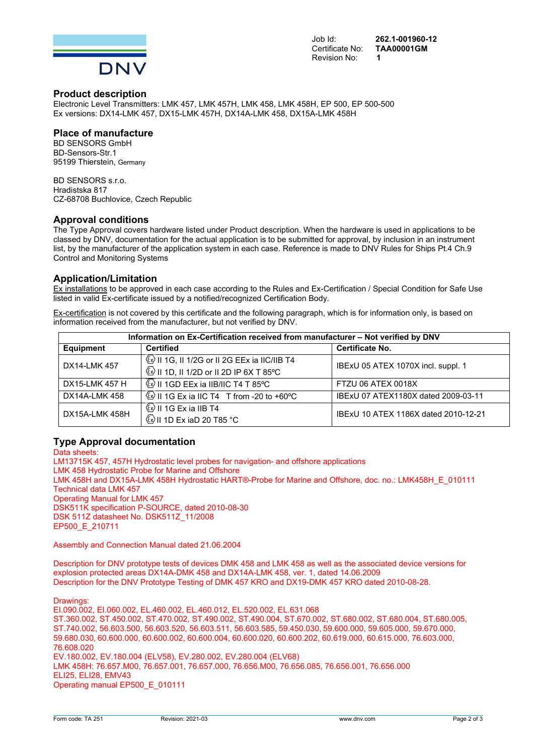

Job Id: **262.1-001960-12**  Certificate No: **TAA00001GM**

#### **Product description**

Electronic Level Transmitters: LMK 457, LMK 457H, LMK 458, LMK 458H, EP 500, EP 500-500 Ex versions: DX14-LMK 457, DX15-LMK 457H, DX14A-LMK 458, DX15A-LMK 458H

#### **Place of manufacture**

BD SENSORS GmbH BD-Sensors-Str.1 95199 Thierstein, Germany

BD SENSORS s.r.o. Hradistska 817 CZ-68708 Buchlovice, Czech Republic

## **Approval conditions**

The Type Approval covers hardware listed under Product description. When the hardware is used in applications to be classed by DNV, documentation for the actual application is to be submitted for approval, by inclusion in an instrument list, by the manufacturer of the application system in each case. Reference is made to DNV Rules for Ships Pt.4 Ch.9 Control and Monitoring Systems

#### **Application/Limitation**

Ex installations to be approved in each case according to the Rules and Ex-Certification / Special Condition for Safe Use listed in valid Ex-certificate issued by a notified/recognized Certification Body.

Ex-certification is not covered by this certificate and the following paragraph, which is for information only, is based on information received from the manufacturer, but not verified by DNV.

| Information on Ex-Certification received from manufacturer - Not verified by DNV |                                                        |                                      |  |  |
|----------------------------------------------------------------------------------|--------------------------------------------------------|--------------------------------------|--|--|
| <b>Equipment</b>                                                                 | <b>Certified</b>                                       | Certificate No.                      |  |  |
| DX14-LMK 457                                                                     | $\mathbb{Q}$ II 1G, II 1/2G or II 2G EEx ia IIC/IIB T4 | IBExU 05 ATEX 1070X incl. suppl. 1   |  |  |
|                                                                                  | $\circledS$ II 1D, II 1/2D or II 2D IP 6X T 85°C       |                                      |  |  |
| DX15-LMK 457 H                                                                   | $\circ$ II 1GD EEx ia IIB/IIC T4 T 85°C                | FTZU 06 ATEX 0018X                   |  |  |
| DX14A-LMK 458                                                                    | $\circ$ II 1G Ex ia IIC T4 T from -20 to +60 °C        | IBExU 07 ATEX1180X dated 2009-03-11  |  |  |
| DX15A-LMK 458H                                                                   | $\mathbb{Q}$ II 1G Ex ia IIB T4                        | IBExU 10 ATEX 1186X dated 2010-12-21 |  |  |
|                                                                                  | $\circ$ II 1D Ex iaD 20 T85 $\circ$ C                  |                                      |  |  |

#### **Type Approval documentation**

Data sheets: LM13715K 457, 457H Hydrostatic level probes for navigation- and offshore applications LMK 458 Hydrostatic Probe for Marine and Offshore LMK 458H and DX15A-LMK 458H Hydrostatic HART®-Probe for Marine and Offshore, doc. no.: LMK458H\_E\_010111 Technical data LMK 457 Operating Manual for LMK 457 DSK511K specification P-SOURCE, dated 2010-08-30 DSK 511Z datasheet No. DSK511Z\_11/2008 EP500\_E\_210711

Assembly and Connection Manual dated 21.06.2004

Description for DNV prototype tests of devices DMK 458 and LMK 458 as well as the associated device versions for explosion protected areas DX14A-DMK 458 and DX14A-LMK 458, ver. 1, dated 14.06.2009 Description for the DNV Prototype Testing of DMK 457 KRO and DX19-DMK 457 KRO dated 2010-08-28.

Drawings:

EI.090.002, EI.060.002, EL.460.002, EL.460.012, EL.520.002, EL.631.068 ST.360.002, ST.450.002, ST.470.002, ST.490.002, ST.490.004, ST.670.002, ST.680.002, ST.680.004, ST.680.005, ST.740.002, 56.603.500, 56.603.520, 56.603.511, 56.603.585, 59.450.030, 59.600.000, 59.605.000, 59.670.000, 59.680.030, 60.600.000, 60.600.002, 60.600.004, 60.600.020, 60.600.202, 60.619.000, 60.615.000, 76.603.000, 76.608.020 EV.180.002, EV.180.004 (ELV58), EV.280.002, EV.280.004 (ELV68) LMK 458H: 76.657.M00, 76.657.001, 76.657.000, 76.656.M00, 76.656.085, 76.656.001, 76.656.000 ELI25, ELI28, EMV43 Operating manual EP500\_E\_010111